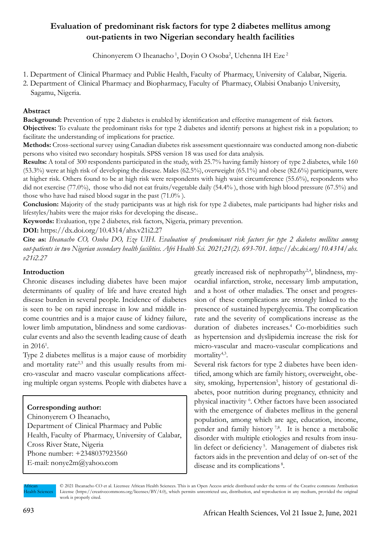# **Evaluation of predominant risk factors for type 2 diabetes mellitus among out-patients in two Nigerian secondary health facilities**

Chinonyerem O Iheanacho<sup>1</sup>, Doyin O Osoba<sup>2</sup>, Uchenna IH Eze<sup>2</sup>

- 1. Department of Clinical Pharmacy and Public Health, Faculty of Pharmacy, University of Calabar, Nigeria.
- 2. Department of Clinical Pharmacy and Biopharmacy, Faculty of Pharmacy, Olabisi Onabanjo University, Sagamu, Nigeria.

# **Abstract**

**Background:** Prevention of type 2 diabetes is enabled by identification and effective management of risk factors. **Objectives:** To evaluate the predominant risks for type 2 diabetes and identify persons at highest risk in a population; to facilitate the understanding of implications for practice.

**Methods:** Cross-sectional survey using Canadian diabetes risk assessment questionnaire was conducted among non-diabetic persons who visited two secondary hospitals. SPSS version 18 was used for data analysis.

**Results:** A total of 300 respondents participated in the study, with 25.7% having family history of type 2 diabetes, while 160 (53.3%) were at high risk of developing the disease. Males (62.5%), overweight (65.1%) and obese (82.6%) participants, were at higher risk. Others found to be at high risk were respondents with high waist circumference (55.6%), respondents who did not exercise (77.0%), those who did not eat fruits/vegetable daily (54.4%), those with high blood pressure (67.5%) and those who have had raised blood sugar in the past (71.0% ).

**Conclusion:** Majority of the study participants was at high risk for type 2 diabetes, male participants had higher risks and lifestyles/habits were the major risks for developing the disease..

**Keywords:** Evaluation, type 2 diabetes, risk factors, Nigeria, primary prevention.

**DOI:** https://dx.doi.org/10.4314/ahs.v21i2.27

**Cite as:** *Iheanacho CO, Osoba DO, Eze UIH. Evaluation of predominant risk factors for type 2 diabetes mellitus among out-patients in two Nigerian secondary health facilities. Afri Health Sci. 2021;21(2). 693-701. https://dx.doi.org/10.4314/ahs. v21i2.27*

# **Introduction**

Chronic diseases including diabetes have been major determinants of quality of life and have created high disease burden in several people. Incidence of diabetes is seen to be on rapid increase in low and middle income countries and is a major cause of kidney failure, lower limb amputation, blindness and some cardiovascular events and also the seventh leading cause of death in  $2016^1$ .

Type 2 diabetes mellitus is a major cause of morbidity and mortality rate<sup>2,3</sup> and this usually results from micro-vascular and macro vascular complications affecting multiple organ systems. People with diabetes have a

# **Corresponding author:**

Chinonyerem O Iheanacho, Department of Clinical Pharmacy and Public Health, Faculty of Pharmacy, University of Calabar, Cross River State, Nigeria Phone number: +2348037923560 E-mail: nonye2m@yahoo.com

greatly increased risk of nephropathy<sup>2,4</sup>, blindness, myocardial infarction, stroke, necessary limb amputation, and a host of other maladies. The onset and progression of these complications are strongly linked to the presence of sustained hyperglycemia. The complication rate and the severity of complications increase as the duration of diabetes increases.<sup>4</sup> Co-morbidities such as hypertension and dyslipidemia increase the risk for micro-vascular and macro-vascular complications and mortality<sup>4,3</sup>.

Several risk factors for type 2 diabetes have been identified, among which are family history, overweight, obesity, smoking, hypertension<sup>5</sup>, history of gestational diabetes, poor nutrition during pregnancy, ethnicity and physical inactivity <sup>6</sup> . Other factors have been associated with the emergence of diabetes mellitus in the general population, among which are age, education, income, gender and family history<sup>7,8</sup>. It is hence a metabolic disorder with multiple etiologies and results from insulin defect or deficiency<sup>5</sup>. Management of diabetes risk factors aids in the prevention and delay of on-set of the disease and its complications<sup>8</sup>.

African **Health Sciences** 

<sup>© 2021</sup> Iheanacho CO et al. Licensee African Health Sciences. This is an Open Access article distributed under the terms of the Creative commons Attribution License (https://creativecommons.org/licenses/BY/4.0), which permits unrestricted use, distribution, and reproduction in any medium, provided the original work is properly cited.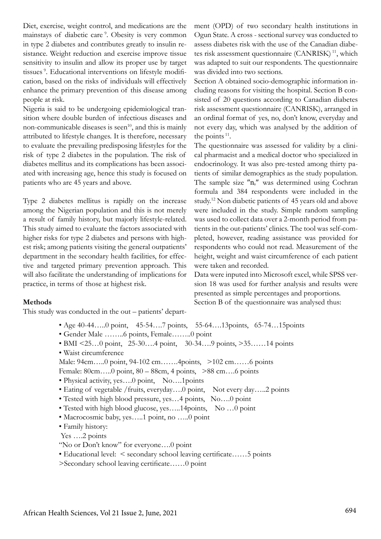Diet, exercise, weight control, and medications are the mainstays of diabetic care<sup>9</sup>. Obesity is very common in type 2 diabetes and contributes greatly to insulin resistance. Weight reduction and exercise improve tissue sensitivity to insulin and allow its proper use by target tissues<sup>9</sup>. Educational interventions on lifestyle modification, based on the risks of individuals will effectively enhance the primary prevention of this disease among people at risk.

Nigeria is said to be undergoing epidemiological transition where double burden of infectious diseases and non-communicable diseases is seen<sup>10</sup>, and this is mainly attributed to lifestyle changes. It is therefore, necessary to evaluate the prevailing predisposing lifestyles for the risk of type 2 diabetes in the population. The risk of diabetes mellitus and its complications has been associated with increasing age, hence this study is focused on patients who are 45 years and above.

Type 2 diabetes mellitus is rapidly on the increase among the Nigerian population and this is not merely a result of family history, but majorly lifestyle-related. This study aimed to evaluate the factors associated with higher risks for type 2 diabetes and persons with highest risk; among patients visiting the general outpatients' department in the secondary health facilities, for effective and targeted primary prevention approach. This will also facilitate the understanding of implications for practice, in terms of those at highest risk.

### **Methods**

This study was conducted in the out – patients' depart-

- Age 40-44…..0 point, 45-54….7 points, 55-64….13 points, 65-74…15 points
- Gender Male ……..6 points, Female……..0 point
- BMI <25...0 point, 25-30....4 point, 30-34....9 points, >35......14 points • Waist circumference
- Male: 94cm…..0 point, 94-102 cm…….4points, >102 cm……6 points
- Female: 80cm…..0 point, 80 88cm, 4 points, >88 cm….6 points
- Physical activity, yes....0 point, No....1 points
- Eating of vegetable /fruits, everyday….0 point, Not every day…..2 points
- Tested with high blood pressure, yes…4 points, No….0 point
- Tested with high blood glucose, yes…..14points, No …0 point
- Macrocosmic baby, yes…..1 point, no …..0 point
- Family history:
- Yes ….2 points
- "No or Don't know" for everyone….0 point
- Educational level: < secondary school leaving certificate……5 points
- >Secondary school leaving certificate……0 point

ment (OPD) of two secondary health institutions in Ogun State. A cross - sectional survey was conducted to assess diabetes risk with the use of the Canadian diabetes risk assessment questionnaire  $(CANRISK)^{11}$ , which was adapted to suit our respondents. The questionnaire was divided into two sections.

Section A obtained socio-demographic information including reasons for visiting the hospital. Section B consisted of 20 questions according to Canadian diabetes risk assessment questionnaire (CANRISK), arranged in an ordinal format of yes, no, don't know, everyday and not every day, which was analysed by the addition of the points<sup>11</sup>.

The questionnaire was assessed for validity by a clinical pharmacist and a medical doctor who specialized in endocrinology. It was also pre-tested among thirty patients of similar demographics as the study population. The sample size  $n_0$ " was determined using Cochran formula and 384 respondents were included in the study.12 Non diabetic patients of 45 years old and above were included in the study. Simple random sampling was used to collect data over a 2-month period from patients in the out-patients' clinics. The tool was self-completed, however, reading assistance was provided for respondents who could not read. Measurement of the height, weight and waist circumference of each patient were taken and recorded.

Data were inputed into Microsoft excel, while SPSS version 18 was used for further analysis and results were presented as simple percentages and proportions. Section B of the questionnaire was analysed thus: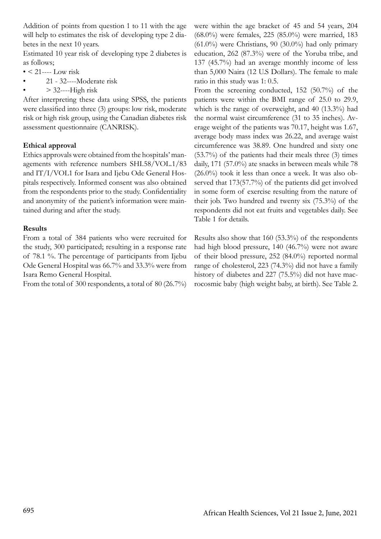Addition of points from question 1 to 11 with the age will help to estimates the risk of developing type 2 diabetes in the next 10 years.

Estimated 10 year risk of developing type 2 diabetes is as follows;

- $\bullet$  < 21---- Low risk
- 21 32----Moderate risk
- $> 32$ ----High risk

After interpreting these data using SPSS, the patients were classified into three (3) groups: low risk, moderate risk or high risk group, using the Canadian diabetes risk assessment questionnaire (CANRISK).

# **Ethical approval**

Ethics approvals were obtained from the hospitals' managements with reference numbers SHI.58/VOL.1/83 and IT/I/VOL1 for Isara and Ijebu Ode General Hospitals respectively. Informed consent was also obtained from the respondents prior to the study. Confidentiality and anonymity of the patient's information were maintained during and after the study.

# **Results**

From a total of 384 patients who were recruited for the study, 300 participated; resulting in a response rate of 78.1 %. The percentage of participants from Ijebu Ode General Hospital was 66.7% and 33.3% were from Isara Remo General Hospital.

From the total of 300 respondents, a total of 80 (26.7%)

were within the age bracket of 45 and 54 years, 204 (68.0%) were females, 225 (85.0%) were married, 183  $(61.0\%)$  were Christians, 90  $(30.0\%)$  had only primary education, 262 (87.3%) were of the Yoruba tribe, and 137 (45.7%) had an average monthly income of less than 5,000 Naira (12 U.S Dollars). The female to male ratio in this study was 1: 0.5.

From the screening conducted, 152 (50.7%) of the patients were within the BMI range of 25.0 to 29.9, which is the range of overweight, and 40 (13.3%) had the normal waist circumference (31 to 35 inches). Average weight of the patients was 70.17, height was 1.67, average body mass index was 26.22, and average waist circumference was 38.89. One hundred and sixty one (53.7%) of the patients had their meals three (3) times daily, 171 (57.0%) ate snacks in between meals while 78 (26.0%) took it less than once a week. It was also observed that 173(57.7%) of the patients did get involved in some form of exercise resulting from the nature of their job. Two hundred and twenty six (75.3%) of the respondents did not eat fruits and vegetables daily. See Table 1 for details.

Results also show that 160 (53.3%) of the respondents had high blood pressure, 140 (46.7%) were not aware of their blood pressure, 252 (84.0%) reported normal range of cholesterol, 223 (74.3%) did not have a family history of diabetes and 227 (75.5%) did not have macrocosmic baby (high weight baby, at birth). See Table 2.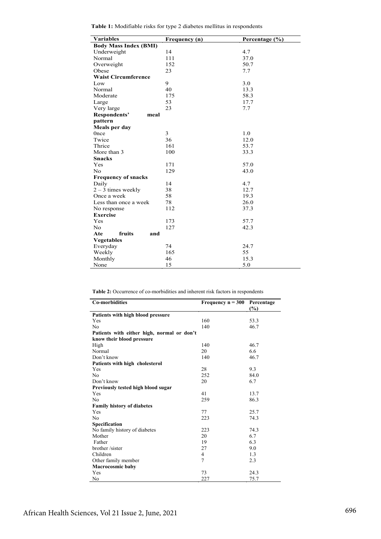| <b>Variables</b>             | Frequency (n) | Percentage (%) |  |  |  |  |
|------------------------------|---------------|----------------|--|--|--|--|
| <b>Body Mass Index (BMI)</b> |               |                |  |  |  |  |
| Underweight                  | 14            | 4.7            |  |  |  |  |
| Normal                       | 111           | 37.0           |  |  |  |  |
| Overweight                   | 152           | 50.7           |  |  |  |  |
| Obese                        | 23            | 7.7            |  |  |  |  |
| <b>Waist Circumference</b>   |               |                |  |  |  |  |
| Low                          | 9             | 3.0            |  |  |  |  |
| Normal                       | 40            | 13.3           |  |  |  |  |
| Moderate                     | 175           | 58.3           |  |  |  |  |
| Large                        | 53            | 17.7           |  |  |  |  |
| Very large                   | 23            | 7.7            |  |  |  |  |
| Respondents'<br>meal         |               |                |  |  |  |  |
| pattern                      |               |                |  |  |  |  |
| Meals per day                |               |                |  |  |  |  |
| 0 <sub>nce</sub>             | 3             | 1.0            |  |  |  |  |
| Twice                        | 36            | 12.0           |  |  |  |  |
| Thrice                       | 161           | 53.7           |  |  |  |  |
| More than 3                  | 100           | 33.3           |  |  |  |  |
| <b>Snacks</b>                |               |                |  |  |  |  |
| Yes                          | 171           | 57.0           |  |  |  |  |
| N <sub>0</sub>               | 129           | 43.0           |  |  |  |  |
| <b>Frequency of snacks</b>   |               |                |  |  |  |  |
| Daily                        | 14            | 4.7            |  |  |  |  |
| $2 - 3$ times weekly         | 38            | 12.7           |  |  |  |  |
| Once a week                  | 58            | 19.3           |  |  |  |  |
| Less than once a week        | 78            | 26.0           |  |  |  |  |
| No response                  | 112           | 37.3           |  |  |  |  |
| <b>Exercise</b>              |               |                |  |  |  |  |
| Yes                          | 173           | 57.7           |  |  |  |  |
| N <sub>o</sub>               | 127           | 42.3           |  |  |  |  |
| fruits<br>Ate<br>and         |               |                |  |  |  |  |
| <b>Vegetables</b>            |               |                |  |  |  |  |
| Everyday                     | 74            | 24.7           |  |  |  |  |
| Weekly                       | 165           | 55             |  |  |  |  |
| Monthly                      | 46            | 15.3           |  |  |  |  |
| None                         | 15            | 5.0            |  |  |  |  |

| <b>Table 1:</b> Modifiable risks for type 2 diabetes mellitus in respondents |  |  |
|------------------------------------------------------------------------------|--|--|
|------------------------------------------------------------------------------|--|--|

**Table 2:** Occurrence of co-morbidities and inherent risk factors in respondents

| <b>Co-morbidities</b>                      | Frequency $n = 300$ | Percentage<br>(%) |
|--------------------------------------------|---------------------|-------------------|
| Patients with high blood pressure          |                     |                   |
| Yes                                        | 160                 | 53.3              |
| No                                         | 140                 | 46.7              |
| Patients with either high, normal or don't |                     |                   |
| know their blood pressure                  |                     |                   |
| High                                       | 140                 | 46.7              |
| Normal                                     | 20                  | 6.6               |
| Don't know                                 | 140                 | 46.7              |
| Patients with high cholesterol             |                     |                   |
| Yes                                        | 28                  | 9.3               |
| N <sub>0</sub>                             | 252                 | 84.0              |
| Don't know                                 | 20                  | 6.7               |
| Previously tested high blood sugar         |                     |                   |
| Yes                                        | 41                  | 13.7              |
| No                                         | 259                 | 86.3              |
| <b>Family history of diabetes</b>          |                     |                   |
| Yes                                        | 77                  | 25.7              |
| No                                         | 223                 | 74.3              |
| Specification                              |                     |                   |
| No family history of diabetes              | 223                 | 74.3              |
| Mother                                     | 20                  | 6.7               |
| Father                                     | 19                  | 6.3               |
| brother /sister                            | 27                  | 9.0               |
| Children                                   | $\overline{4}$      | 1.3               |
| Other family member                        | 7                   | 2.3               |
| <b>Macrocosmic baby</b>                    |                     |                   |
| Yes                                        | 73                  | 24.3              |
| No                                         | 227                 | 75.7              |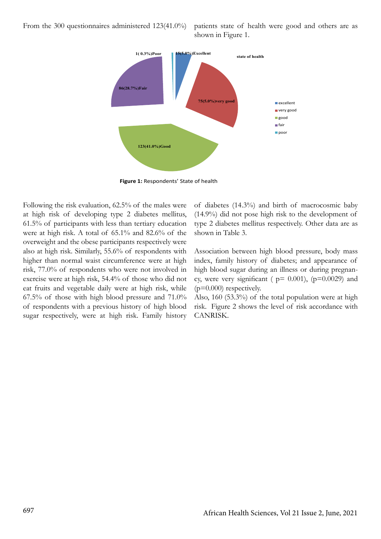From the 300 questionnaires administered 123(41.0%) patients state of health were good and others are as



**Figure 1:** Respondents' State of health

Following the risk evaluation, 62.5% of the males were at high risk of developing type 2 diabetes mellitus, 61.5% of participants with less than tertiary education were at high risk. A total of 65.1% and 82.6% of the overweight and the obese participants respectively were also at high risk. Similarly, 55.6% of respondents with higher than normal waist circumference were at high risk, 77.0% of respondents who were not involved in exercise were at high risk, 54.4% of those who did not eat fruits and vegetable daily were at high risk, while 67.5% of those with high blood pressure and 71.0% of respondents with a previous history of high blood sugar respectively, were at high risk. Family history of diabetes (14.3%) and birth of macrocosmic baby (14.9%) did not pose high risk to the development of type 2 diabetes mellitus respectively. Other data are as shown in Table 3.

Association between high blood pressure, body mass index, family history of diabetes; and appearance of high blood sugar during an illness or during pregnancy, were very significant ( $p= 0.001$ ), ( $p=0.0029$ ) and  $(p=0.000)$  respectively.

Also, 160 (53.3%) of the total population were at high risk. Figure 2 shows the level of risk accordance with CANRISK.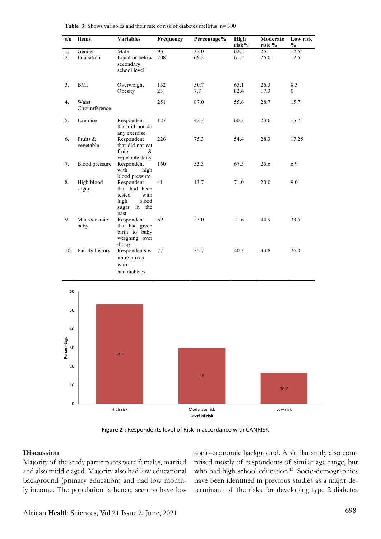| s/n               | <b>Items</b>           | <b>Variables</b>                                                                       | Frequency | Percentage%                    | <b>High</b><br>risk% | Moderate<br>risk % | Low risk<br>$\frac{0}{0}$ |
|-------------------|------------------------|----------------------------------------------------------------------------------------|-----------|--------------------------------|----------------------|--------------------|---------------------------|
| 1.<br>2.          | Gender<br>Education    | Male<br>Equal or below<br>secondary<br>school level                                    | 96<br>208 | 32.0<br>69.3                   | 62.5<br>61.5         | 25<br>26.0         | 12.5<br>12.5              |
| 3.                | BMI                    | Overweight<br>Obesity                                                                  | 152<br>23 | 50.7<br>7.7                    | 65.1<br>82.6         | 26.3<br>17.3       | 8.3<br>0                  |
| 4.                | Waist<br>Circumference |                                                                                        | 251       | 87.0                           | 55.6                 | 28.7               | 15.7                      |
| 5.                | Exercise               | Respondent<br>that did not do                                                          | 127       | 42.3                           | 60.3                 | 23.6               | 15.7                      |
| 6.                | Fruits &<br>vegetable  | any exercise<br>Respondent<br>that did not eat<br>fruits<br>&<br>vegetable daily       | 226       | 75.3                           | 54.4                 | 28.3               | 17.25                     |
| 7.                | Blood pressure         | Respondent<br>with<br>high<br>blood pressure                                           | 160       | 53.3                           | 67.5                 | 25.6               | 6.9                       |
| 8.                | High blood<br>sugar    | Respondent<br>that had been<br>with<br>tested<br>high<br>blood<br>sugar in the<br>past | 41        | 13.7                           | 71.0                 | 20.0               | 9.0                       |
| 9.                | Macrocosmic<br>baby    | Respondent<br>that had given<br>birth to baby<br>weighing over<br>4.0kg                | 69        | 23.0                           | 21.6                 | 44.9               | 33.5                      |
| 10.               | Family history         | Respondents w<br>ith relatives<br>who<br>had diabetes                                  | 77        | 25.7                           | 40.3                 | 33.8               | 26.0                      |
| 60                |                        |                                                                                        |           |                                |                      |                    |                           |
| 50                |                        |                                                                                        |           |                                |                      |                    |                           |
| 40                |                        |                                                                                        |           |                                |                      |                    |                           |
| Percenntage<br>30 |                        | 53.3                                                                                   |           |                                |                      |                    |                           |
| 20                |                        |                                                                                        |           |                                |                      |                    |                           |
| 10                |                        |                                                                                        |           | 30                             |                      | 16.7               |                           |
| $\pmb{0}$         |                        | High risk                                                                              |           | Moderate risk<br>Level of risk |                      | Low risk           |                           |

**Table 3:** Shows variables and their rate of risk of diabetes mellitus. n= 300 bles and the

**Figure 2 :** Respondents level of Risk in accordance with CANRISK

#### **Discussion**

Majority of the study participants were females, married and also middle aged. Majority also had low educational background (primary education) and had low monthly income. The population is hence, seen to have low

socio-economic background. A similar study also comprised mostly of respondents of similar age range, but who had high school education<sup>13</sup>. Socio-demographics have been identified in previous studies as a major determinant of the risks for developing type 2 diabetes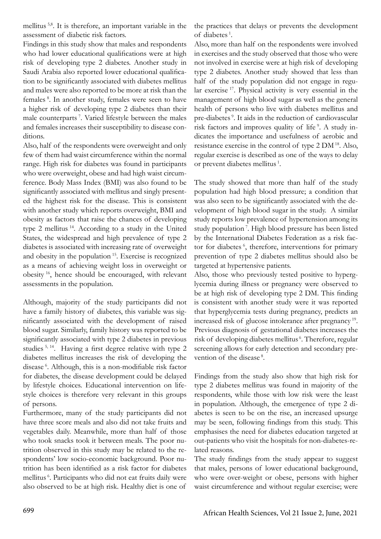mellitus 5,8. It is therefore, an important variable in the assessment of diabetic risk factors.

Findings in this study show that males and respondents who had lower educational qualifications were at high risk of developing type 2 diabetes. Another study in Saudi Arabia also reported lower educational qualification to be significantly associated with diabetes mellitus and males were also reported to be more at risk than the females 8. In another study, females were seen to have a higher risk of developing type 2 diabetes than their male counterparts 7. Varied lifestyle between the males and females increases their susceptibility to disease conditions.

Also, half of the respondents were overweight and only few of them had waist circumference within the normal range. High risk for diabetes was found in participants who were overweight, obese and had high waist circumference. Body Mass Index (BMI) was also found to be significantly associated with mellitus and singly presented the highest risk for the disease. This is consistent with another study which reports overweight, BMI and obesity as factors that raise the chances of developing type 2 mellitus<sup>14</sup>. According to a study in the United States, the widespread and high prevalence of type 2 diabetes is associated with increasing rate of overweight and obesity in the population<sup>15</sup>. Exercise is recognized as a means of achieving weight loss in overweight or obesity 16, hence should be encouraged, with relevant assessments in the population.

Although, majority of the study participants did not have a family history of diabetes, this variable was significantly associated with the development of raised blood sugar. Similarly, family history was reported to be significantly associated with type 2 diabetes in previous studies 5, 14. Having a first degree relative with type 2 diabetes mellitus increases the risk of developing the disease<sup>6</sup>. Although, this is a non-modifiable risk factor for diabetes, the disease development could be delayed by lifestyle choices. Educational intervention on lifestyle choices is therefore very relevant in this groups of persons.

Furthermore, many of the study participants did not have three score meals and also did not take fruits and vegetables daily. Meanwhile, more than half of those who took snacks took it between meals. The poor nutrition observed in this study may be related to the respondents' low socio-economic background. Poor nutrition has been identified as a risk factor for diabetes mellitus 6. Participants who did not eat fruits daily were also observed to be at high risk. Healthy diet is one of

the practices that delays or prevents the development of diabetes 1.

Also, more than half on the respondents were involved in exercises and the study observed that those who were not involved in exercise were at high risk of developing type 2 diabetes. Another study showed that less than half of the study population did not engage in regular exercise<sup>17</sup>. Physical activity is very essential in the management of high blood sugar as well as the general health of persons who live with diabetes mellitus and pre-diabetes<sup>9</sup>. It aids in the reduction of cardiovascular risk factors and improves quality of life<sup>9</sup>. A study indicates the importance and usefulness of aerobic and resistance exercise in the control of type 2 DM 18. Also, regular exercise is described as one of the ways to delay or prevent diabetes mellitus 1.

The study showed that more than half of the study population had high blood pressure; a condition that was also seen to be significantly associated with the development of high blood sugar in the study. A similar study reports low prevalence of hypertension among its study population<sup>7</sup>. High blood pressure has been listed by the International Diabetes Federation as a risk factor for diabetes<sup>6</sup>, therefore, interventions for primary prevention of type 2 diabetes mellitus should also be targeted at hypertensive patients.

Also, those who previously tested positive to hyperglycemia during illness or pregnancy were observed to be at high risk of developing type 2 DM. This finding is consistent with another study were it was reported that hyperglycemia tests during pregnancy, predicts an increased risk of glucose intolerance after pregnancy 19. Previous diagnosis of gestational diabetes increases the risk of developing diabetes mellitus<sup>6</sup>. Therefore, regular screening allows for early detection and secondary prevention of the disease<sup>8</sup>.

Findings from the study also show that high risk for type 2 diabetes mellitus was found in majority of the respondents, while those with low risk were the least in population. Although, the emergence of type 2 diabetes is seen to be on the rise, an increased upsurge may be seen, following findings from this study. This emphasises the need for diabetes education targeted at out-patients who visit the hospitals for non-diabetes-related reasons.

The study findings from the study appear to suggest that males, persons of lower educational background, who were over-weight or obese, persons with higher waist circumference and without regular exercise; were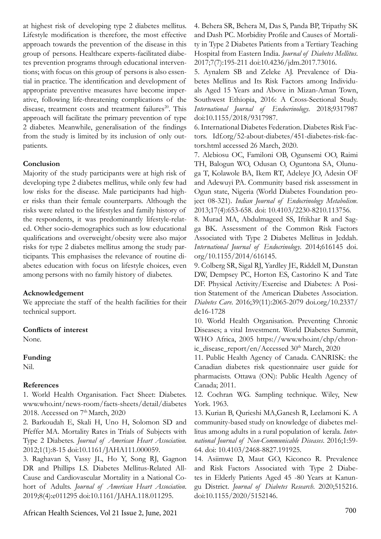at highest risk of developing type 2 diabetes mellitus. Lifestyle modification is therefore, the most effective approach towards the prevention of the disease in this group of persons. Healthcare experts-facilitated diabetes prevention programs through educational interventions; with focus on this group of persons is also essential in practice. The identification and development of appropriate preventive measures have become imperative, following life-threatening complications of the disease, treatment costs and treatment failures<sup>20</sup>. This approach will facilitate the primary prevention of type 2 diabetes. Meanwhile, generalisation of the findings from the study is limited by its inclusion of only outpatients.

## **Conclusion**

Majority of the study participants were at high risk of developing type 2 diabetes mellitus, while only few had low risks for the disease. Male participants had higher risks than their female counterparts. Although the risks were related to the lifestyles and family history of the respondents, it was predominantly lifestyle-related. Other socio-demographics such as low educational qualifications and overweight/obesity were also major risks for type 2 diabetes mellitus among the study participants. This emphasises the relevance of routine diabetes education with focus on lifestyle choices, even among persons with no family history of diabetes.

### **Acknowledgement**

We appreciate the staff of the health facilities for their technical support.

### **Conflicts of interest**

None.

### **Funding**

Nil.

## **References**

1. World Health Organisation. Fact Sheet: Diabetes. www.who.int/news-room/facts-sheets/detail/diabetes 2018. Accessed on 7<sup>th</sup> March, 2020

2. Barkoudah E, Skali H, Uno H, Solomon SD and Pfeffer MA. Mortality Rates in Trials of Subjects with Type 2 Diabetes. *Journal of American Heart Association*. 2012;1(1):8-15 doi:10.1161/JAHA111.000059.

3. Raghavan S, Vassy JL, Ho Y, Song RJ, Gagnon DR and Phillips LS. Diabetes Mellitus-Related All-Cause and Cardiovascular Mortality in a National Cohort of Adults. *Journal of American Heart Association*. 2019;8(4):e011295 doi:10.1161/JAHA.118.011295.

700 African Health Sciences, Vol 21 Issue 2, June, 2021

4. Behera SR, Behera M, Das S, Panda BP, Tripathy SK and Dash PC. Morbidity Profile and Causes of Mortality in Type 2 Diabetes Patients from a Tertiary Teaching Hospital from Eastern India. *Journal of Diabetes Mellitus*. 2017;7(7):195-211 doi:10.4236/jdm.2017.73016.

5. Aynalem SB and Zeleke AJ. Prevalence of Diabetes Mellitus and Its Risk Factors among Individuals Aged 15 Years and Above in Mizan-Aman Town, Southwest Ethiopia, 2016: A Cross-Sectional Study. *International Journal of Endocrinology*. 2018;9317987 doi:10.1155/2018/9317987.

6. International Diabetes Federation. Diabetes Risk Factors. Idf.org/52-about-diabetes/451-diabetes-risk-factors.html accessed 26 March, 2020.

7. Alebiosu OC, Familoni OB, Ogunsemi OO, Raimi TH, Balogun WO, Odusan O, Oguntona SA, Olunuga T, Kolawole BA, Ikem RT, Adeleye JO, Adesin OF and Adewuyi PA. Community based risk assessment in Ogun state, Nigeria (World Diabetes Foundation project 08-321). *Indian Journal of Endocrinology Metabolism*. 2013;17(4):653-658. doi: 10.4103/2230-8210.113756.

8. Murad MA, Abdulmageed SS, Iftikhar R and Sagga BK. Assessment of the Common Risk Factors Associated with Type 2 Diabetes Mellitus in Jeddah. *International Journal of Endocrinology*. 2014;616145 doi. org/10.1155/2014/616145.

9. Colberg SR, Sigal RJ, Yardley JE, Riddell M, Dunstan DW, Dempsey PC, Horton ES, Castorino K and Tate DF. Physical Activity/Exercise and Diabetes: A Position Statement of the American Diabetes Association. *Diabetes Care*. 2016;39(11):2065-2079 doi.org/10.2337/ dc16-1728

10. World Health Organisation. Preventing Chronic Diseases; a vital Investment. World Diabetes Summit, WHO Africa, 2005 https://www.who.int/chp/chronic\_disease\_report/en/Accessed  $30<sup>th</sup> March$ , 2020

11. Public Health Agency of Canada. CANRISK: the Canadian diabetes risk questionnaire user guide for pharmacists. Ottawa (ON): Public Health Agency of Canada; 2011.

12. Cochran WG. Sampling technique. Wiley, New York. 1963.

13. Kurian B, Qurieshi MA,Ganesh R, Leelamoni K. A community-based study on knowledge of diabetes mellitus among adults in a rural population of kerala. *International Journal of Non-Communicable Diseases*. 2016;1:59- 64. doi: 10.4103/2468-8827.191925.

14. Asiimwe D, Maut GO, Kiconco R. Prevalence and Risk Factors Associated with Type 2 Diabetes in Elderly Patients Aged 45 -80 Years at Kanungu District. *Journal of Diabetes Research*. 2020;515216. doi:10.1155/2020/5152146.